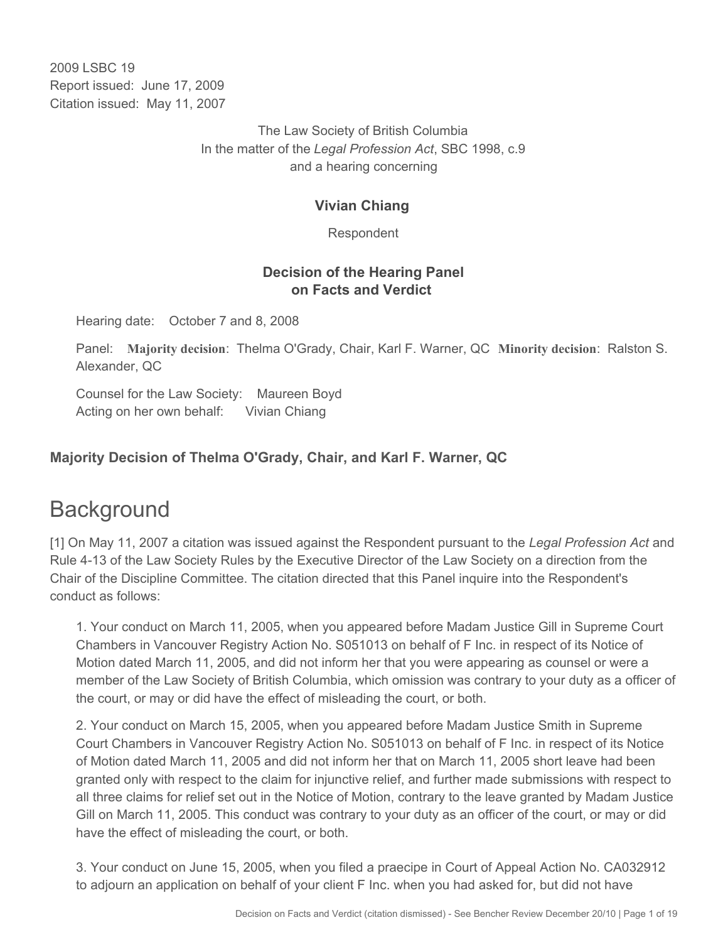2009 LSBC 19 Report issued: June 17, 2009 Citation issued: May 11, 2007

> The Law Society of British Columbia In the matter of the *Legal Profession Act*, SBC 1998, c.9 and a hearing concerning

#### **Vivian Chiang**

Respondent

#### **Decision of the Hearing Panel on Facts and Verdict**

Hearing date: October 7 and 8, 2008

Panel: **Majority decision**: Thelma O'Grady, Chair, Karl F. Warner, QC **Minority decision**: Ralston S. Alexander, QC

Counsel for the Law Society: Maureen Boyd Acting on her own behalf: Vivian Chiang

# **Majority Decision of Thelma O'Grady, Chair, and Karl F. Warner, QC**

# **Background**

[1] On May 11, 2007 a citation was issued against the Respondent pursuant to the *Legal Profession Act* and Rule 4-13 of the Law Society Rules by the Executive Director of the Law Society on a direction from the Chair of the Discipline Committee. The citation directed that this Panel inquire into the Respondent's conduct as follows:

1. Your conduct on March 11, 2005, when you appeared before Madam Justice Gill in Supreme Court Chambers in Vancouver Registry Action No. S051013 on behalf of F Inc. in respect of its Notice of Motion dated March 11, 2005, and did not inform her that you were appearing as counsel or were a member of the Law Society of British Columbia, which omission was contrary to your duty as a officer of the court, or may or did have the effect of misleading the court, or both.

2. Your conduct on March 15, 2005, when you appeared before Madam Justice Smith in Supreme Court Chambers in Vancouver Registry Action No. S051013 on behalf of F Inc. in respect of its Notice of Motion dated March 11, 2005 and did not inform her that on March 11, 2005 short leave had been granted only with respect to the claim for injunctive relief, and further made submissions with respect to all three claims for relief set out in the Notice of Motion, contrary to the leave granted by Madam Justice Gill on March 11, 2005. This conduct was contrary to your duty as an officer of the court, or may or did have the effect of misleading the court, or both.

3. Your conduct on June 15, 2005, when you filed a praecipe in Court of Appeal Action No. CA032912 to adjourn an application on behalf of your client F Inc. when you had asked for, but did not have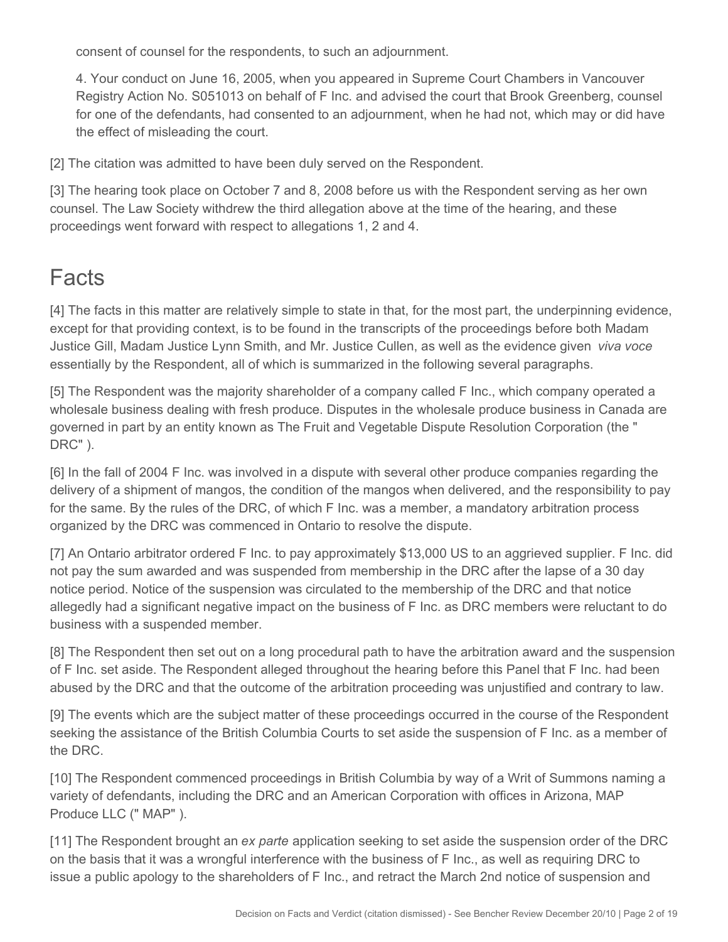consent of counsel for the respondents, to such an adjournment.

4. Your conduct on June 16, 2005, when you appeared in Supreme Court Chambers in Vancouver Registry Action No. S051013 on behalf of F Inc. and advised the court that Brook Greenberg, counsel for one of the defendants, had consented to an adjournment, when he had not, which may or did have the effect of misleading the court.

[2] The citation was admitted to have been duly served on the Respondent.

[3] The hearing took place on October 7 and 8, 2008 before us with the Respondent serving as her own counsel. The Law Society withdrew the third allegation above at the time of the hearing, and these proceedings went forward with respect to allegations 1, 2 and 4.

# Facts

[4] The facts in this matter are relatively simple to state in that, for the most part, the underpinning evidence, except for that providing context, is to be found in the transcripts of the proceedings before both Madam Justice Gill, Madam Justice Lynn Smith, and Mr. Justice Cullen, as well as the evidence given *viva voce* essentially by the Respondent, all of which is summarized in the following several paragraphs.

[5] The Respondent was the majority shareholder of a company called F Inc., which company operated a wholesale business dealing with fresh produce. Disputes in the wholesale produce business in Canada are governed in part by an entity known as The Fruit and Vegetable Dispute Resolution Corporation (the " DRC" ).

[6] In the fall of 2004 F Inc. was involved in a dispute with several other produce companies regarding the delivery of a shipment of mangos, the condition of the mangos when delivered, and the responsibility to pay for the same. By the rules of the DRC, of which F Inc. was a member, a mandatory arbitration process organized by the DRC was commenced in Ontario to resolve the dispute.

[7] An Ontario arbitrator ordered F Inc. to pay approximately \$13,000 US to an aggrieved supplier. F Inc. did not pay the sum awarded and was suspended from membership in the DRC after the lapse of a 30 day notice period. Notice of the suspension was circulated to the membership of the DRC and that notice allegedly had a significant negative impact on the business of F Inc. as DRC members were reluctant to do business with a suspended member.

[8] The Respondent then set out on a long procedural path to have the arbitration award and the suspension of F Inc. set aside. The Respondent alleged throughout the hearing before this Panel that F Inc. had been abused by the DRC and that the outcome of the arbitration proceeding was unjustified and contrary to law.

[9] The events which are the subject matter of these proceedings occurred in the course of the Respondent seeking the assistance of the British Columbia Courts to set aside the suspension of F Inc. as a member of the DRC.

[10] The Respondent commenced proceedings in British Columbia by way of a Writ of Summons naming a variety of defendants, including the DRC and an American Corporation with offices in Arizona, MAP Produce LLC (" MAP" ).

[11] The Respondent brought an *ex parte* application seeking to set aside the suspension order of the DRC on the basis that it was a wrongful interference with the business of F Inc., as well as requiring DRC to issue a public apology to the shareholders of F Inc., and retract the March 2nd notice of suspension and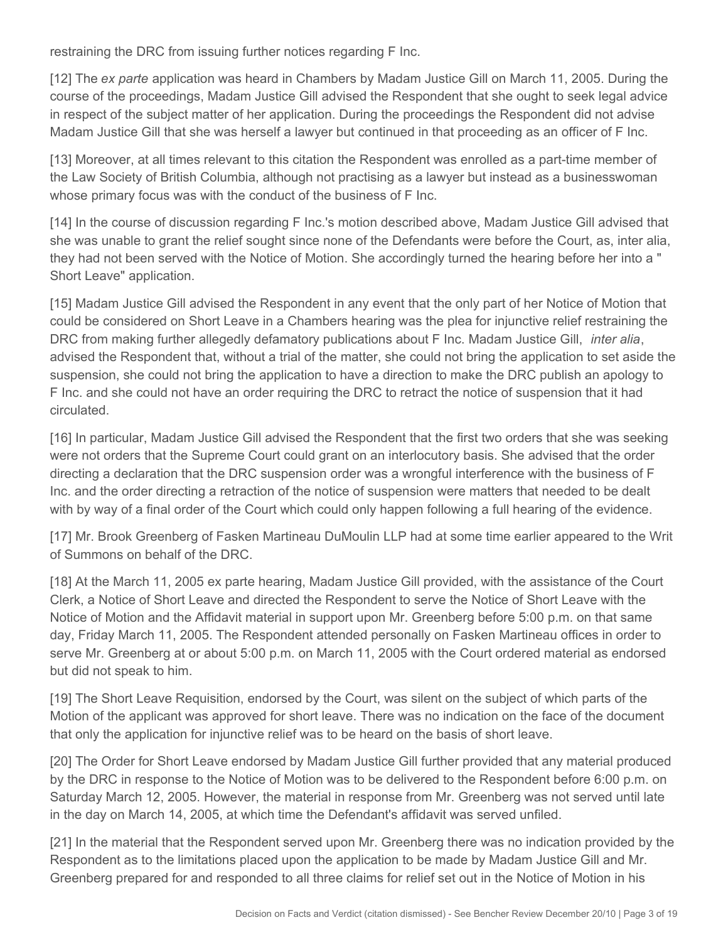restraining the DRC from issuing further notices regarding F Inc.

[12] The *ex parte* application was heard in Chambers by Madam Justice Gill on March 11, 2005. During the course of the proceedings, Madam Justice Gill advised the Respondent that she ought to seek legal advice in respect of the subject matter of her application. During the proceedings the Respondent did not advise Madam Justice Gill that she was herself a lawyer but continued in that proceeding as an officer of F Inc.

[13] Moreover, at all times relevant to this citation the Respondent was enrolled as a part-time member of the Law Society of British Columbia, although not practising as a lawyer but instead as a businesswoman whose primary focus was with the conduct of the business of F Inc.

[14] In the course of discussion regarding F Inc.'s motion described above, Madam Justice Gill advised that she was unable to grant the relief sought since none of the Defendants were before the Court, as, inter alia, they had not been served with the Notice of Motion. She accordingly turned the hearing before her into a " Short Leave" application.

[15] Madam Justice Gill advised the Respondent in any event that the only part of her Notice of Motion that could be considered on Short Leave in a Chambers hearing was the plea for injunctive relief restraining the DRC from making further allegedly defamatory publications about F Inc. Madam Justice Gill, *inter alia*, advised the Respondent that, without a trial of the matter, she could not bring the application to set aside the suspension, she could not bring the application to have a direction to make the DRC publish an apology to F Inc. and she could not have an order requiring the DRC to retract the notice of suspension that it had circulated.

[16] In particular, Madam Justice Gill advised the Respondent that the first two orders that she was seeking were not orders that the Supreme Court could grant on an interlocutory basis. She advised that the order directing a declaration that the DRC suspension order was a wrongful interference with the business of F Inc. and the order directing a retraction of the notice of suspension were matters that needed to be dealt with by way of a final order of the Court which could only happen following a full hearing of the evidence.

[17] Mr. Brook Greenberg of Fasken Martineau DuMoulin LLP had at some time earlier appeared to the Writ of Summons on behalf of the DRC.

[18] At the March 11, 2005 ex parte hearing, Madam Justice Gill provided, with the assistance of the Court Clerk, a Notice of Short Leave and directed the Respondent to serve the Notice of Short Leave with the Notice of Motion and the Affidavit material in support upon Mr. Greenberg before 5:00 p.m. on that same day, Friday March 11, 2005. The Respondent attended personally on Fasken Martineau offices in order to serve Mr. Greenberg at or about 5:00 p.m. on March 11, 2005 with the Court ordered material as endorsed but did not speak to him.

[19] The Short Leave Requisition, endorsed by the Court, was silent on the subject of which parts of the Motion of the applicant was approved for short leave. There was no indication on the face of the document that only the application for injunctive relief was to be heard on the basis of short leave.

[20] The Order for Short Leave endorsed by Madam Justice Gill further provided that any material produced by the DRC in response to the Notice of Motion was to be delivered to the Respondent before 6:00 p.m. on Saturday March 12, 2005. However, the material in response from Mr. Greenberg was not served until late in the day on March 14, 2005, at which time the Defendant's affidavit was served unfiled.

[21] In the material that the Respondent served upon Mr. Greenberg there was no indication provided by the Respondent as to the limitations placed upon the application to be made by Madam Justice Gill and Mr. Greenberg prepared for and responded to all three claims for relief set out in the Notice of Motion in his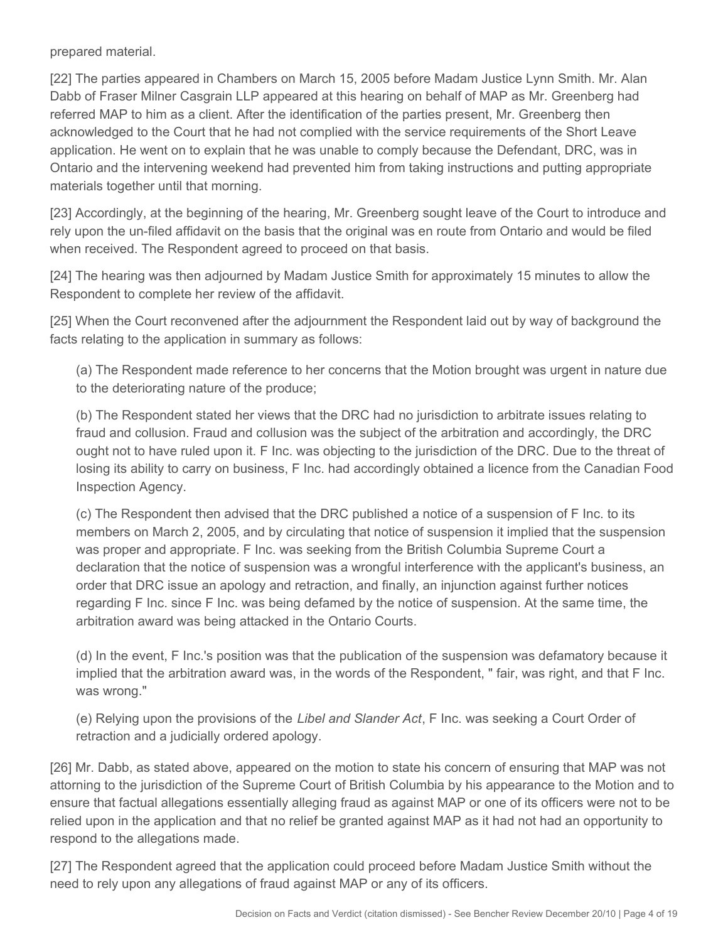prepared material.

[22] The parties appeared in Chambers on March 15, 2005 before Madam Justice Lynn Smith. Mr. Alan Dabb of Fraser Milner Casgrain LLP appeared at this hearing on behalf of MAP as Mr. Greenberg had referred MAP to him as a client. After the identification of the parties present, Mr. Greenberg then acknowledged to the Court that he had not complied with the service requirements of the Short Leave application. He went on to explain that he was unable to comply because the Defendant, DRC, was in Ontario and the intervening weekend had prevented him from taking instructions and putting appropriate materials together until that morning.

[23] Accordingly, at the beginning of the hearing, Mr. Greenberg sought leave of the Court to introduce and rely upon the un-filed affidavit on the basis that the original was en route from Ontario and would be filed when received. The Respondent agreed to proceed on that basis.

[24] The hearing was then adjourned by Madam Justice Smith for approximately 15 minutes to allow the Respondent to complete her review of the affidavit.

[25] When the Court reconvened after the adjournment the Respondent laid out by way of background the facts relating to the application in summary as follows:

(a) The Respondent made reference to her concerns that the Motion brought was urgent in nature due to the deteriorating nature of the produce;

(b) The Respondent stated her views that the DRC had no jurisdiction to arbitrate issues relating to fraud and collusion. Fraud and collusion was the subject of the arbitration and accordingly, the DRC ought not to have ruled upon it. F Inc. was objecting to the jurisdiction of the DRC. Due to the threat of losing its ability to carry on business, F Inc. had accordingly obtained a licence from the Canadian Food Inspection Agency.

(c) The Respondent then advised that the DRC published a notice of a suspension of F Inc. to its members on March 2, 2005, and by circulating that notice of suspension it implied that the suspension was proper and appropriate. F Inc. was seeking from the British Columbia Supreme Court a declaration that the notice of suspension was a wrongful interference with the applicant's business, an order that DRC issue an apology and retraction, and finally, an injunction against further notices regarding F Inc. since F Inc. was being defamed by the notice of suspension. At the same time, the arbitration award was being attacked in the Ontario Courts.

(d) In the event, F Inc.'s position was that the publication of the suspension was defamatory because it implied that the arbitration award was, in the words of the Respondent, " fair, was right, and that F Inc. was wrong."

(e) Relying upon the provisions of the *Libel and Slander Act*, F Inc. was seeking a Court Order of retraction and a judicially ordered apology.

[26] Mr. Dabb, as stated above, appeared on the motion to state his concern of ensuring that MAP was not attorning to the jurisdiction of the Supreme Court of British Columbia by his appearance to the Motion and to ensure that factual allegations essentially alleging fraud as against MAP or one of its officers were not to be relied upon in the application and that no relief be granted against MAP as it had not had an opportunity to respond to the allegations made.

[27] The Respondent agreed that the application could proceed before Madam Justice Smith without the need to rely upon any allegations of fraud against MAP or any of its officers.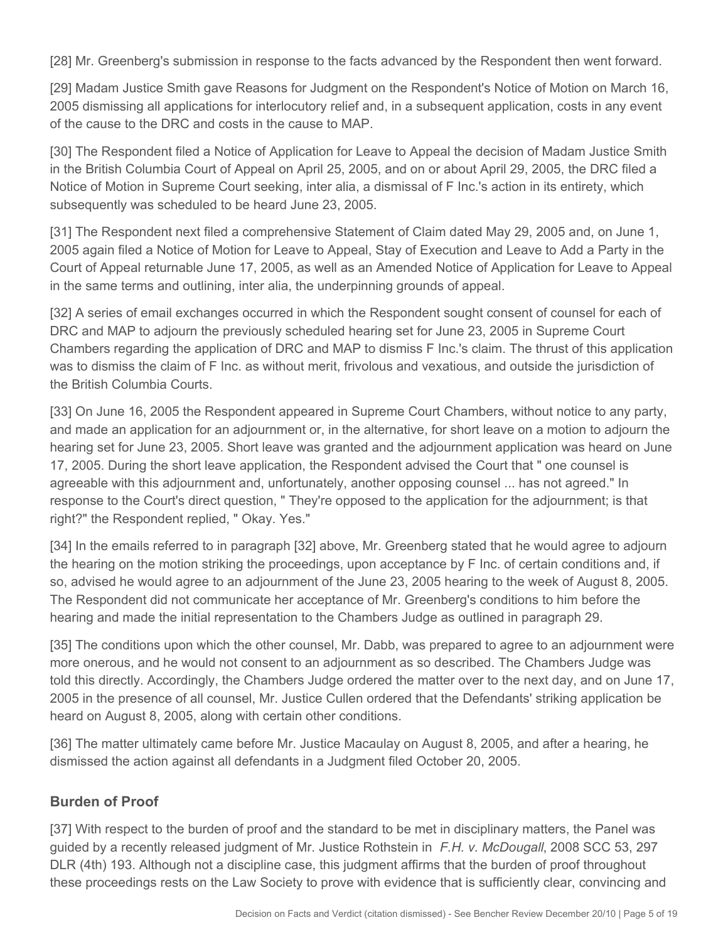[28] Mr. Greenberg's submission in response to the facts advanced by the Respondent then went forward.

[29] Madam Justice Smith gave Reasons for Judgment on the Respondent's Notice of Motion on March 16, 2005 dismissing all applications for interlocutory relief and, in a subsequent application, costs in any event of the cause to the DRC and costs in the cause to MAP.

[30] The Respondent filed a Notice of Application for Leave to Appeal the decision of Madam Justice Smith in the British Columbia Court of Appeal on April 25, 2005, and on or about April 29, 2005, the DRC filed a Notice of Motion in Supreme Court seeking, inter alia, a dismissal of F Inc.'s action in its entirety, which subsequently was scheduled to be heard June 23, 2005.

[31] The Respondent next filed a comprehensive Statement of Claim dated May 29, 2005 and, on June 1, 2005 again filed a Notice of Motion for Leave to Appeal, Stay of Execution and Leave to Add a Party in the Court of Appeal returnable June 17, 2005, as well as an Amended Notice of Application for Leave to Appeal in the same terms and outlining, inter alia, the underpinning grounds of appeal.

[32] A series of email exchanges occurred in which the Respondent sought consent of counsel for each of DRC and MAP to adjourn the previously scheduled hearing set for June 23, 2005 in Supreme Court Chambers regarding the application of DRC and MAP to dismiss F Inc.'s claim. The thrust of this application was to dismiss the claim of F Inc. as without merit, frivolous and vexatious, and outside the jurisdiction of the British Columbia Courts.

[33] On June 16, 2005 the Respondent appeared in Supreme Court Chambers, without notice to any party, and made an application for an adjournment or, in the alternative, for short leave on a motion to adjourn the hearing set for June 23, 2005. Short leave was granted and the adjournment application was heard on June 17, 2005. During the short leave application, the Respondent advised the Court that " one counsel is agreeable with this adjournment and, unfortunately, another opposing counsel ... has not agreed." In response to the Court's direct question, " They're opposed to the application for the adjournment; is that right?" the Respondent replied, " Okay. Yes."

[34] In the emails referred to in paragraph [32] above, Mr. Greenberg stated that he would agree to adjourn the hearing on the motion striking the proceedings, upon acceptance by F Inc. of certain conditions and, if so, advised he would agree to an adjournment of the June 23, 2005 hearing to the week of August 8, 2005. The Respondent did not communicate her acceptance of Mr. Greenberg's conditions to him before the hearing and made the initial representation to the Chambers Judge as outlined in paragraph 29.

[35] The conditions upon which the other counsel, Mr. Dabb, was prepared to agree to an adjournment were more onerous, and he would not consent to an adjournment as so described. The Chambers Judge was told this directly. Accordingly, the Chambers Judge ordered the matter over to the next day, and on June 17, 2005 in the presence of all counsel, Mr. Justice Cullen ordered that the Defendants' striking application be heard on August 8, 2005, along with certain other conditions.

[36] The matter ultimately came before Mr. Justice Macaulay on August 8, 2005, and after a hearing, he dismissed the action against all defendants in a Judgment filed October 20, 2005.

# **Burden of Proof**

[37] With respect to the burden of proof and the standard to be met in disciplinary matters, the Panel was guided by a recently released judgment of Mr. Justice Rothstein in *F.H. v. McDougall*, 2008 SCC 53, 297 DLR (4th) 193. Although not a discipline case, this judgment affirms that the burden of proof throughout these proceedings rests on the Law Society to prove with evidence that is sufficiently clear, convincing and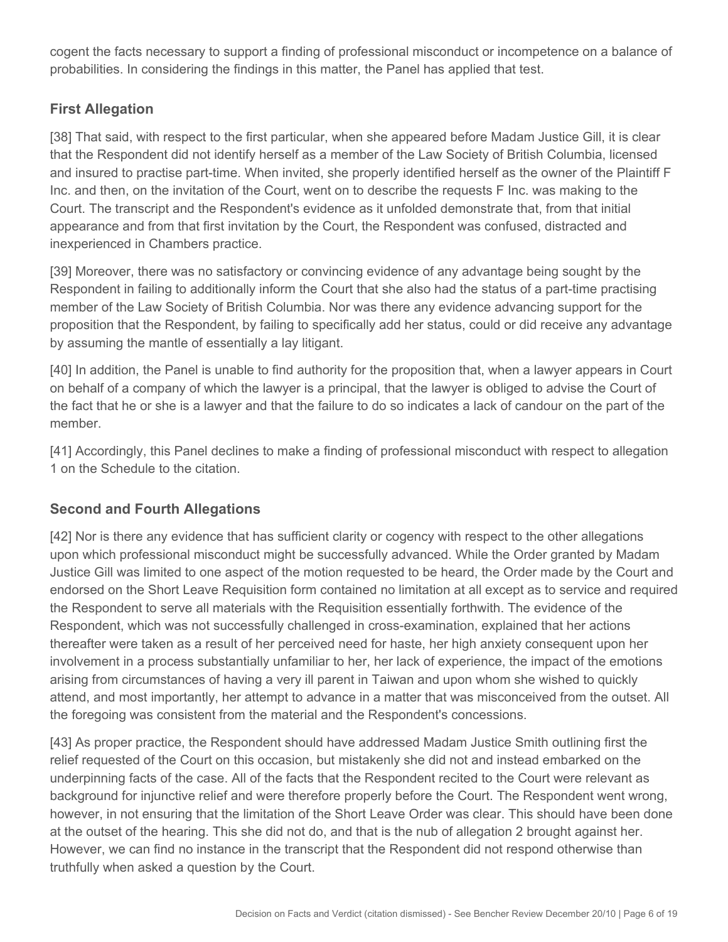cogent the facts necessary to support a finding of professional misconduct or incompetence on a balance of probabilities. In considering the findings in this matter, the Panel has applied that test.

# **First Allegation**

[38] That said, with respect to the first particular, when she appeared before Madam Justice Gill, it is clear that the Respondent did not identify herself as a member of the Law Society of British Columbia, licensed and insured to practise part-time. When invited, she properly identified herself as the owner of the Plaintiff F Inc. and then, on the invitation of the Court, went on to describe the requests F Inc. was making to the Court. The transcript and the Respondent's evidence as it unfolded demonstrate that, from that initial appearance and from that first invitation by the Court, the Respondent was confused, distracted and inexperienced in Chambers practice.

[39] Moreover, there was no satisfactory or convincing evidence of any advantage being sought by the Respondent in failing to additionally inform the Court that she also had the status of a part-time practising member of the Law Society of British Columbia. Nor was there any evidence advancing support for the proposition that the Respondent, by failing to specifically add her status, could or did receive any advantage by assuming the mantle of essentially a lay litigant.

[40] In addition, the Panel is unable to find authority for the proposition that, when a lawyer appears in Court on behalf of a company of which the lawyer is a principal, that the lawyer is obliged to advise the Court of the fact that he or she is a lawyer and that the failure to do so indicates a lack of candour on the part of the member.

[41] Accordingly, this Panel declines to make a finding of professional misconduct with respect to allegation 1 on the Schedule to the citation.

# **Second and Fourth Allegations**

[42] Nor is there any evidence that has sufficient clarity or cogency with respect to the other allegations upon which professional misconduct might be successfully advanced. While the Order granted by Madam Justice Gill was limited to one aspect of the motion requested to be heard, the Order made by the Court and endorsed on the Short Leave Requisition form contained no limitation at all except as to service and required the Respondent to serve all materials with the Requisition essentially forthwith. The evidence of the Respondent, which was not successfully challenged in cross-examination, explained that her actions thereafter were taken as a result of her perceived need for haste, her high anxiety consequent upon her involvement in a process substantially unfamiliar to her, her lack of experience, the impact of the emotions arising from circumstances of having a very ill parent in Taiwan and upon whom she wished to quickly attend, and most importantly, her attempt to advance in a matter that was misconceived from the outset. All the foregoing was consistent from the material and the Respondent's concessions.

[43] As proper practice, the Respondent should have addressed Madam Justice Smith outlining first the relief requested of the Court on this occasion, but mistakenly she did not and instead embarked on the underpinning facts of the case. All of the facts that the Respondent recited to the Court were relevant as background for injunctive relief and were therefore properly before the Court. The Respondent went wrong, however, in not ensuring that the limitation of the Short Leave Order was clear. This should have been done at the outset of the hearing. This she did not do, and that is the nub of allegation 2 brought against her. However, we can find no instance in the transcript that the Respondent did not respond otherwise than truthfully when asked a question by the Court.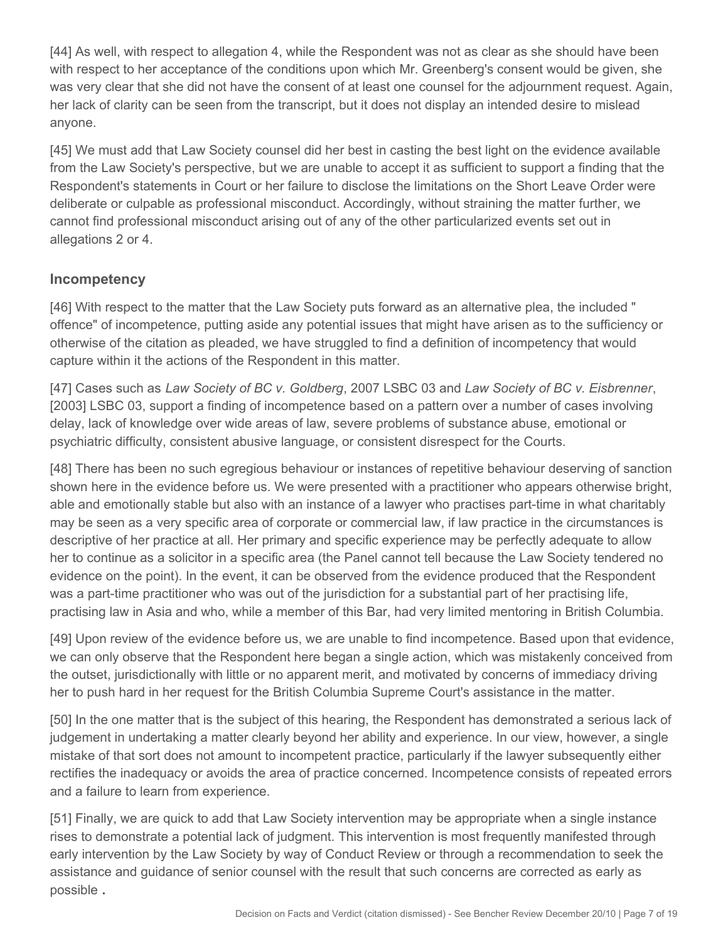[44] As well, with respect to allegation 4, while the Respondent was not as clear as she should have been with respect to her acceptance of the conditions upon which Mr. Greenberg's consent would be given, she was very clear that she did not have the consent of at least one counsel for the adjournment request. Again, her lack of clarity can be seen from the transcript, but it does not display an intended desire to mislead anyone.

[45] We must add that Law Society counsel did her best in casting the best light on the evidence available from the Law Society's perspective, but we are unable to accept it as sufficient to support a finding that the Respondent's statements in Court or her failure to disclose the limitations on the Short Leave Order were deliberate or culpable as professional misconduct. Accordingly, without straining the matter further, we cannot find professional misconduct arising out of any of the other particularized events set out in allegations 2 or 4.

#### **Incompetency**

[46] With respect to the matter that the Law Society puts forward as an alternative plea, the included " offence" of incompetence, putting aside any potential issues that might have arisen as to the sufficiency or otherwise of the citation as pleaded, we have struggled to find a definition of incompetency that would capture within it the actions of the Respondent in this matter.

[47] Cases such as *Law Society of BC v. Goldberg*, 2007 LSBC 03 and *Law Society of BC v. Eisbrenner*, [2003] LSBC 03, support a finding of incompetence based on a pattern over a number of cases involving delay, lack of knowledge over wide areas of law, severe problems of substance abuse, emotional or psychiatric difficulty, consistent abusive language, or consistent disrespect for the Courts.

[48] There has been no such egregious behaviour or instances of repetitive behaviour deserving of sanction shown here in the evidence before us. We were presented with a practitioner who appears otherwise bright, able and emotionally stable but also with an instance of a lawyer who practises part-time in what charitably may be seen as a very specific area of corporate or commercial law, if law practice in the circumstances is descriptive of her practice at all. Her primary and specific experience may be perfectly adequate to allow her to continue as a solicitor in a specific area (the Panel cannot tell because the Law Society tendered no evidence on the point). In the event, it can be observed from the evidence produced that the Respondent was a part-time practitioner who was out of the jurisdiction for a substantial part of her practising life, practising law in Asia and who, while a member of this Bar, had very limited mentoring in British Columbia.

[49] Upon review of the evidence before us, we are unable to find incompetence. Based upon that evidence, we can only observe that the Respondent here began a single action, which was mistakenly conceived from the outset, jurisdictionally with little or no apparent merit, and motivated by concerns of immediacy driving her to push hard in her request for the British Columbia Supreme Court's assistance in the matter.

[50] In the one matter that is the subject of this hearing, the Respondent has demonstrated a serious lack of judgement in undertaking a matter clearly beyond her ability and experience. In our view, however, a single mistake of that sort does not amount to incompetent practice, particularly if the lawyer subsequently either rectifies the inadequacy or avoids the area of practice concerned. Incompetence consists of repeated errors and a failure to learn from experience.

[51] Finally, we are quick to add that Law Society intervention may be appropriate when a single instance rises to demonstrate a potential lack of judgment. This intervention is most frequently manifested through early intervention by the Law Society by way of Conduct Review or through a recommendation to seek the assistance and guidance of senior counsel with the result that such concerns are corrected as early as possible **.**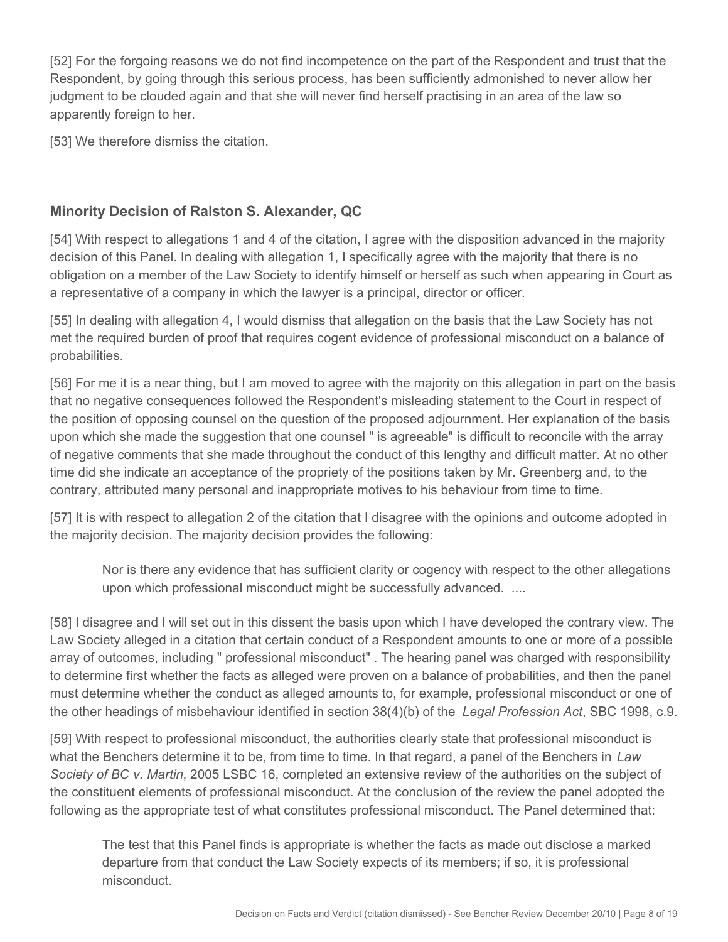[52] For the forgoing reasons we do not find incompetence on the part of the Respondent and trust that the Respondent, by going through this serious process, has been sufficiently admonished to never allow her judgment to be clouded again and that she will never find herself practising in an area of the law so apparently foreign to her.

[53] We therefore dismiss the citation.

# **Minority Decision of Ralston S. Alexander, QC**

[54] With respect to allegations 1 and 4 of the citation, I agree with the disposition advanced in the majority decision of this Panel. In dealing with allegation 1, I specifically agree with the majority that there is no obligation on a member of the Law Society to identify himself or herself as such when appearing in Court as a representative of a company in which the lawyer is a principal, director or officer.

[55] In dealing with allegation 4, I would dismiss that allegation on the basis that the Law Society has not met the required burden of proof that requires cogent evidence of professional misconduct on a balance of probabilities.

[56] For me it is a near thing, but I am moved to agree with the majority on this allegation in part on the basis that no negative consequences followed the Respondent's misleading statement to the Court in respect of the position of opposing counsel on the question of the proposed adjournment. Her explanation of the basis upon which she made the suggestion that one counsel " is agreeable" is difficult to reconcile with the array of negative comments that she made throughout the conduct of this lengthy and difficult matter. At no other time did she indicate an acceptance of the propriety of the positions taken by Mr. Greenberg and, to the contrary, attributed many personal and inappropriate motives to his behaviour from time to time.

[57] It is with respect to allegation 2 of the citation that I disagree with the opinions and outcome adopted in the majority decision. The majority decision provides the following:

Nor is there any evidence that has sufficient clarity or cogency with respect to the other allegations upon which professional misconduct might be successfully advanced. ....

[58] I disagree and I will set out in this dissent the basis upon which I have developed the contrary view. The Law Society alleged in a citation that certain conduct of a Respondent amounts to one or more of a possible array of outcomes, including " professional misconduct" . The hearing panel was charged with responsibility to determine first whether the facts as alleged were proven on a balance of probabilities, and then the panel must determine whether the conduct as alleged amounts to, for example, professional misconduct or one of the other headings of misbehaviour identified in section 38(4)(b) of the *Legal Profession Act*, SBC 1998, c.9.

[59] With respect to professional misconduct, the authorities clearly state that professional misconduct is what the Benchers determine it to be, from time to time. In that regard, a panel of the Benchers in *Law Society of BC v. Martin*, 2005 LSBC 16, completed an extensive review of the authorities on the subject of the constituent elements of professional misconduct. At the conclusion of the review the panel adopted the following as the appropriate test of what constitutes professional misconduct. The Panel determined that:

The test that this Panel finds is appropriate is whether the facts as made out disclose a marked departure from that conduct the Law Society expects of its members; if so, it is professional misconduct.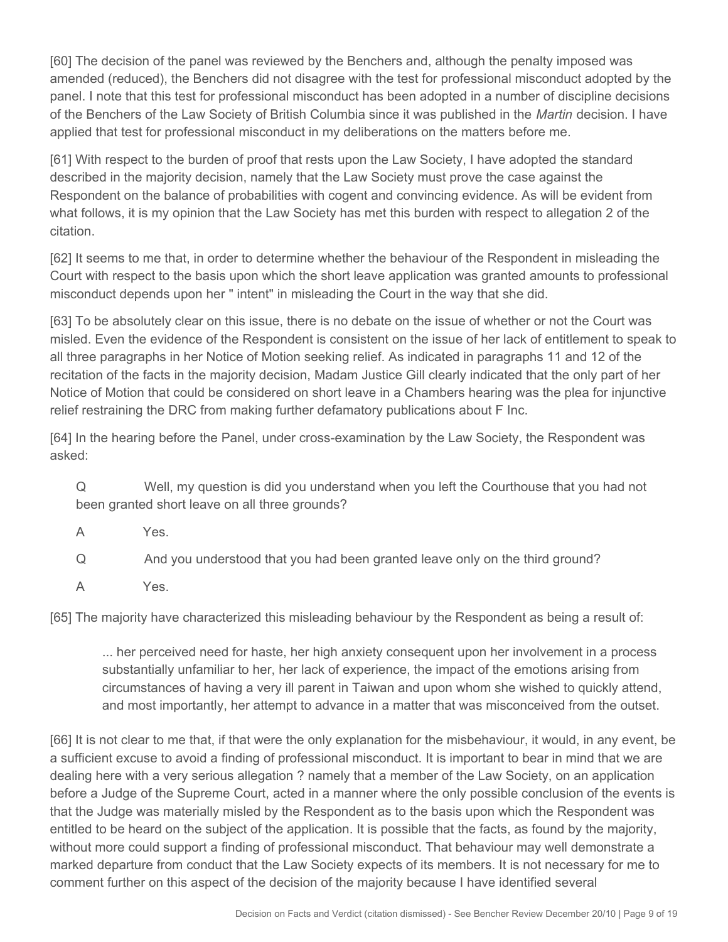[60] The decision of the panel was reviewed by the Benchers and, although the penalty imposed was amended (reduced), the Benchers did not disagree with the test for professional misconduct adopted by the panel. I note that this test for professional misconduct has been adopted in a number of discipline decisions of the Benchers of the Law Society of British Columbia since it was published in the *Martin* decision. I have applied that test for professional misconduct in my deliberations on the matters before me.

[61] With respect to the burden of proof that rests upon the Law Society, I have adopted the standard described in the majority decision, namely that the Law Society must prove the case against the Respondent on the balance of probabilities with cogent and convincing evidence. As will be evident from what follows, it is my opinion that the Law Society has met this burden with respect to allegation 2 of the citation.

[62] It seems to me that, in order to determine whether the behaviour of the Respondent in misleading the Court with respect to the basis upon which the short leave application was granted amounts to professional misconduct depends upon her " intent" in misleading the Court in the way that she did.

[63] To be absolutely clear on this issue, there is no debate on the issue of whether or not the Court was misled. Even the evidence of the Respondent is consistent on the issue of her lack of entitlement to speak to all three paragraphs in her Notice of Motion seeking relief. As indicated in paragraphs 11 and 12 of the recitation of the facts in the majority decision, Madam Justice Gill clearly indicated that the only part of her Notice of Motion that could be considered on short leave in a Chambers hearing was the plea for injunctive relief restraining the DRC from making further defamatory publications about F Inc.

[64] In the hearing before the Panel, under cross-examination by the Law Society, the Respondent was asked:

Q Well, my question is did you understand when you left the Courthouse that you had not been granted short leave on all three grounds?

A Yes.

Q And you understood that you had been granted leave only on the third ground?

A Yes.

[65] The majority have characterized this misleading behaviour by the Respondent as being a result of:

... her perceived need for haste, her high anxiety consequent upon her involvement in a process substantially unfamiliar to her, her lack of experience, the impact of the emotions arising from circumstances of having a very ill parent in Taiwan and upon whom she wished to quickly attend, and most importantly, her attempt to advance in a matter that was misconceived from the outset.

[66] It is not clear to me that, if that were the only explanation for the misbehaviour, it would, in any event, be a sufficient excuse to avoid a finding of professional misconduct. It is important to bear in mind that we are dealing here with a very serious allegation ? namely that a member of the Law Society, on an application before a Judge of the Supreme Court, acted in a manner where the only possible conclusion of the events is that the Judge was materially misled by the Respondent as to the basis upon which the Respondent was entitled to be heard on the subject of the application. It is possible that the facts, as found by the majority, without more could support a finding of professional misconduct. That behaviour may well demonstrate a marked departure from conduct that the Law Society expects of its members. It is not necessary for me to comment further on this aspect of the decision of the majority because I have identified several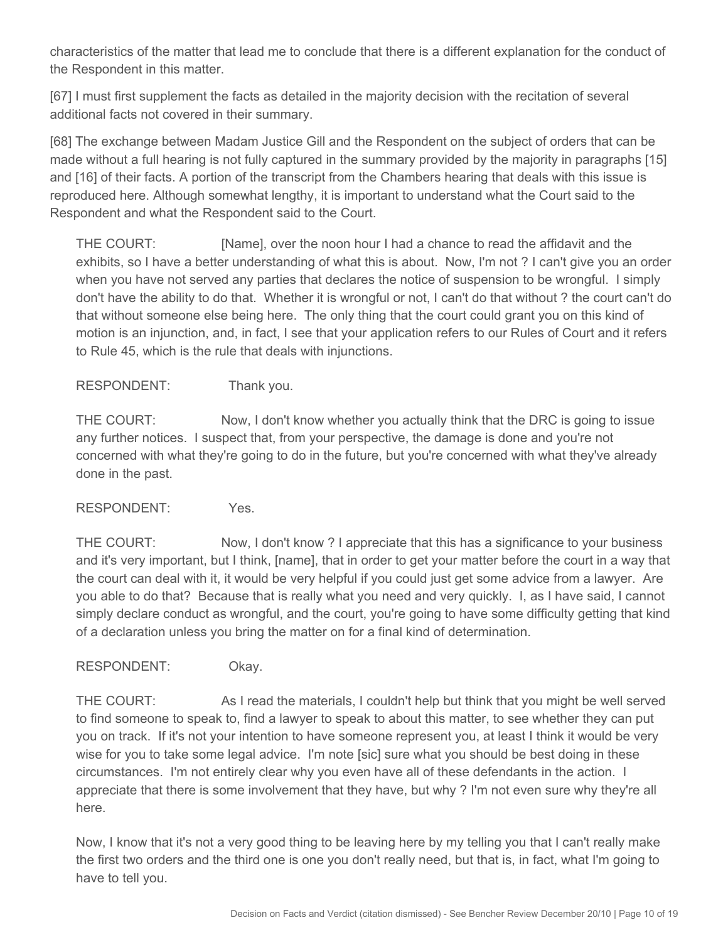characteristics of the matter that lead me to conclude that there is a different explanation for the conduct of the Respondent in this matter.

[67] I must first supplement the facts as detailed in the majority decision with the recitation of several additional facts not covered in their summary.

[68] The exchange between Madam Justice Gill and the Respondent on the subject of orders that can be made without a full hearing is not fully captured in the summary provided by the majority in paragraphs [15] and [16] of their facts. A portion of the transcript from the Chambers hearing that deals with this issue is reproduced here. Although somewhat lengthy, it is important to understand what the Court said to the Respondent and what the Respondent said to the Court.

THE COURT: [Name], over the noon hour I had a chance to read the affidavit and the exhibits, so I have a better understanding of what this is about. Now, I'm not ? I can't give you an order when you have not served any parties that declares the notice of suspension to be wrongful. I simply don't have the ability to do that. Whether it is wrongful or not, I can't do that without ? the court can't do that without someone else being here. The only thing that the court could grant you on this kind of motion is an injunction, and, in fact, I see that your application refers to our Rules of Court and it refers to Rule 45, which is the rule that deals with injunctions.

RESPONDENT: Thank you.

THE COURT: Now, I don't know whether you actually think that the DRC is going to issue any further notices. I suspect that, from your perspective, the damage is done and you're not concerned with what they're going to do in the future, but you're concerned with what they've already done in the past.

RESPONDENT: Yes.

THE COURT: Now, I don't know ? I appreciate that this has a significance to your business and it's very important, but I think, [name], that in order to get your matter before the court in a way that the court can deal with it, it would be very helpful if you could just get some advice from a lawyer. Are you able to do that? Because that is really what you need and very quickly. I, as I have said, I cannot simply declare conduct as wrongful, and the court, you're going to have some difficulty getting that kind of a declaration unless you bring the matter on for a final kind of determination.

RESPONDENT: Okay.

THE COURT: As I read the materials, I couldn't help but think that you might be well served to find someone to speak to, find a lawyer to speak to about this matter, to see whether they can put you on track. If it's not your intention to have someone represent you, at least I think it would be very wise for you to take some legal advice. I'm note [sic] sure what you should be best doing in these circumstances. I'm not entirely clear why you even have all of these defendants in the action. I appreciate that there is some involvement that they have, but why ? I'm not even sure why they're all here.

Now, I know that it's not a very good thing to be leaving here by my telling you that I can't really make the first two orders and the third one is one you don't really need, but that is, in fact, what I'm going to have to tell you.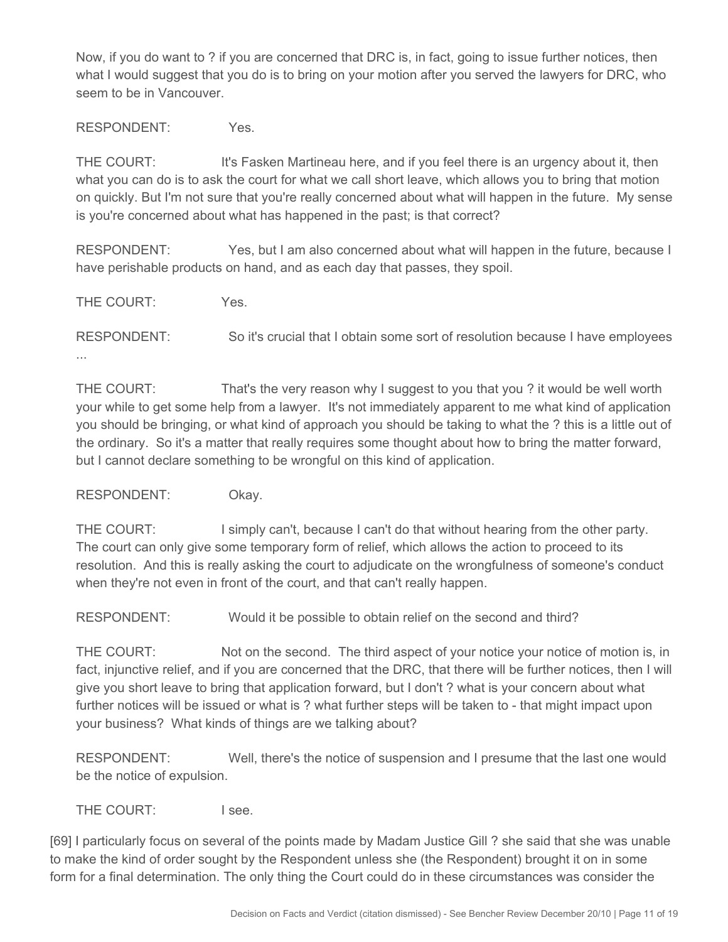Now, if you do want to ? if you are concerned that DRC is, in fact, going to issue further notices, then what I would suggest that you do is to bring on your motion after you served the lawyers for DRC, who seem to be in Vancouver.

RESPONDENT: Yes.

THE COURT: It's Fasken Martineau here, and if you feel there is an urgency about it, then what you can do is to ask the court for what we call short leave, which allows you to bring that motion on quickly. But I'm not sure that you're really concerned about what will happen in the future. My sense is you're concerned about what has happened in the past; is that correct?

RESPONDENT: Yes, but I am also concerned about what will happen in the future, because I have perishable products on hand, and as each day that passes, they spoil.

THE COURT: Yes.

RESPONDENT: So it's crucial that I obtain some sort of resolution because I have employees ...

THE COURT: That's the very reason why I suggest to you that you ? it would be well worth your while to get some help from a lawyer. It's not immediately apparent to me what kind of application you should be bringing, or what kind of approach you should be taking to what the ? this is a little out of the ordinary. So it's a matter that really requires some thought about how to bring the matter forward, but I cannot declare something to be wrongful on this kind of application.

RESPONDENT: Okay.

THE COURT: I simply can't, because I can't do that without hearing from the other party. The court can only give some temporary form of relief, which allows the action to proceed to its resolution. And this is really asking the court to adjudicate on the wrongfulness of someone's conduct when they're not even in front of the court, and that can't really happen.

RESPONDENT: Would it be possible to obtain relief on the second and third?

THE COURT: Not on the second. The third aspect of your notice your notice of motion is, in fact, injunctive relief, and if you are concerned that the DRC, that there will be further notices, then I will give you short leave to bring that application forward, but I don't ? what is your concern about what further notices will be issued or what is ? what further steps will be taken to - that might impact upon your business? What kinds of things are we talking about?

RESPONDENT: Well, there's the notice of suspension and I presume that the last one would be the notice of expulsion.

THE COURT: I see.

[69] I particularly focus on several of the points made by Madam Justice Gill ? she said that she was unable to make the kind of order sought by the Respondent unless she (the Respondent) brought it on in some form for a final determination. The only thing the Court could do in these circumstances was consider the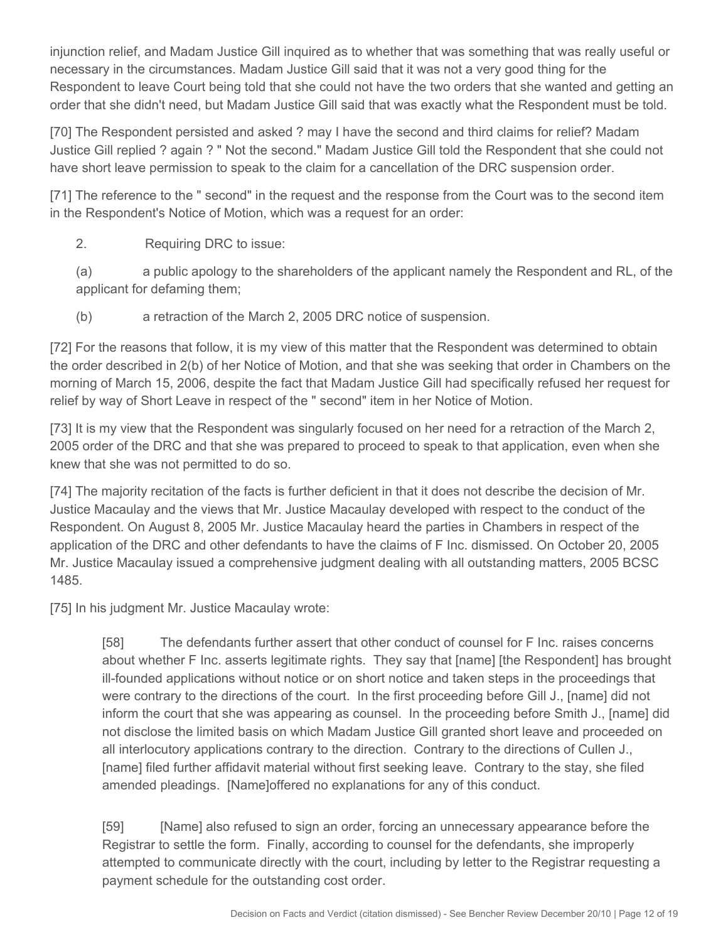injunction relief, and Madam Justice Gill inquired as to whether that was something that was really useful or necessary in the circumstances. Madam Justice Gill said that it was not a very good thing for the Respondent to leave Court being told that she could not have the two orders that she wanted and getting an order that she didn't need, but Madam Justice Gill said that was exactly what the Respondent must be told.

[70] The Respondent persisted and asked ? may I have the second and third claims for relief? Madam Justice Gill replied ? again ? " Not the second." Madam Justice Gill told the Respondent that she could not have short leave permission to speak to the claim for a cancellation of the DRC suspension order.

[71] The reference to the " second" in the request and the response from the Court was to the second item in the Respondent's Notice of Motion, which was a request for an order:

#### 2. Requiring DRC to issue:

(a) a public apology to the shareholders of the applicant namely the Respondent and RL, of the applicant for defaming them;

(b) a retraction of the March 2, 2005 DRC notice of suspension.

[72] For the reasons that follow, it is my view of this matter that the Respondent was determined to obtain the order described in 2(b) of her Notice of Motion, and that she was seeking that order in Chambers on the morning of March 15, 2006, despite the fact that Madam Justice Gill had specifically refused her request for relief by way of Short Leave in respect of the " second" item in her Notice of Motion.

[73] It is my view that the Respondent was singularly focused on her need for a retraction of the March 2, 2005 order of the DRC and that she was prepared to proceed to speak to that application, even when she knew that she was not permitted to do so.

[74] The majority recitation of the facts is further deficient in that it does not describe the decision of Mr. Justice Macaulay and the views that Mr. Justice Macaulay developed with respect to the conduct of the Respondent. On August 8, 2005 Mr. Justice Macaulay heard the parties in Chambers in respect of the application of the DRC and other defendants to have the claims of F Inc. dismissed. On October 20, 2005 Mr. Justice Macaulay issued a comprehensive judgment dealing with all outstanding matters, 2005 BCSC 1485.

[75] In his judgment Mr. Justice Macaulay wrote:

[58] The defendants further assert that other conduct of counsel for F Inc. raises concerns about whether F Inc. asserts legitimate rights. They say that [name] [the Respondent] has brought ill-founded applications without notice or on short notice and taken steps in the proceedings that were contrary to the directions of the court. In the first proceeding before Gill J., [name] did not inform the court that she was appearing as counsel. In the proceeding before Smith J., [name] did not disclose the limited basis on which Madam Justice Gill granted short leave and proceeded on all interlocutory applications contrary to the direction. Contrary to the directions of Cullen J., [name] filed further affidavit material without first seeking leave. Contrary to the stay, she filed amended pleadings. [Name]offered no explanations for any of this conduct.

[59] [Name] also refused to sign an order, forcing an unnecessary appearance before the Registrar to settle the form. Finally, according to counsel for the defendants, she improperly attempted to communicate directly with the court, including by letter to the Registrar requesting a payment schedule for the outstanding cost order.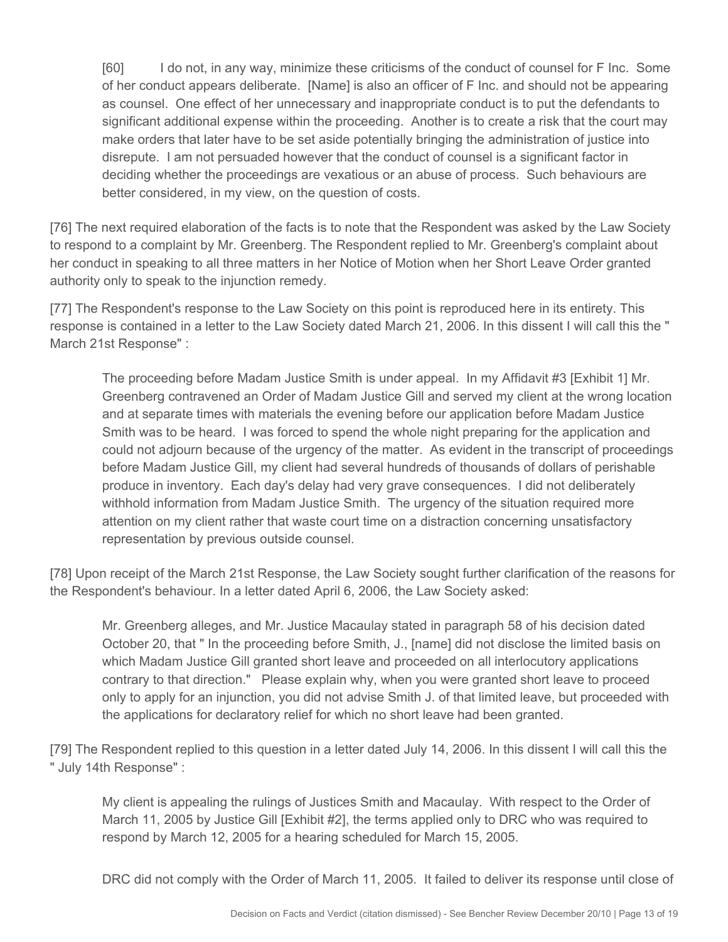[60] I do not, in any way, minimize these criticisms of the conduct of counsel for F Inc. Some of her conduct appears deliberate. [Name] is also an officer of F Inc. and should not be appearing as counsel. One effect of her unnecessary and inappropriate conduct is to put the defendants to significant additional expense within the proceeding. Another is to create a risk that the court may make orders that later have to be set aside potentially bringing the administration of justice into disrepute. I am not persuaded however that the conduct of counsel is a significant factor in deciding whether the proceedings are vexatious or an abuse of process. Such behaviours are better considered, in my view, on the question of costs.

[76] The next required elaboration of the facts is to note that the Respondent was asked by the Law Society to respond to a complaint by Mr. Greenberg. The Respondent replied to Mr. Greenberg's complaint about her conduct in speaking to all three matters in her Notice of Motion when her Short Leave Order granted authority only to speak to the injunction remedy.

[77] The Respondent's response to the Law Society on this point is reproduced here in its entirety. This response is contained in a letter to the Law Society dated March 21, 2006. In this dissent I will call this the " March 21st Response" :

The proceeding before Madam Justice Smith is under appeal. In my Affidavit #3 [Exhibit 1] Mr. Greenberg contravened an Order of Madam Justice Gill and served my client at the wrong location and at separate times with materials the evening before our application before Madam Justice Smith was to be heard. I was forced to spend the whole night preparing for the application and could not adjourn because of the urgency of the matter. As evident in the transcript of proceedings before Madam Justice Gill, my client had several hundreds of thousands of dollars of perishable produce in inventory. Each day's delay had very grave consequences. I did not deliberately withhold information from Madam Justice Smith. The urgency of the situation required more attention on my client rather that waste court time on a distraction concerning unsatisfactory representation by previous outside counsel.

[78] Upon receipt of the March 21st Response, the Law Society sought further clarification of the reasons for the Respondent's behaviour. In a letter dated April 6, 2006, the Law Society asked:

Mr. Greenberg alleges, and Mr. Justice Macaulay stated in paragraph 58 of his decision dated October 20, that " In the proceeding before Smith, J., [name] did not disclose the limited basis on which Madam Justice Gill granted short leave and proceeded on all interlocutory applications contrary to that direction." Please explain why, when you were granted short leave to proceed only to apply for an injunction, you did not advise Smith J. of that limited leave, but proceeded with the applications for declaratory relief for which no short leave had been granted.

[79] The Respondent replied to this question in a letter dated July 14, 2006. In this dissent I will call this the " July 14th Response" :

My client is appealing the rulings of Justices Smith and Macaulay. With respect to the Order of March 11, 2005 by Justice Gill [Exhibit #2], the terms applied only to DRC who was required to respond by March 12, 2005 for a hearing scheduled for March 15, 2005.

DRC did not comply with the Order of March 11, 2005. It failed to deliver its response until close of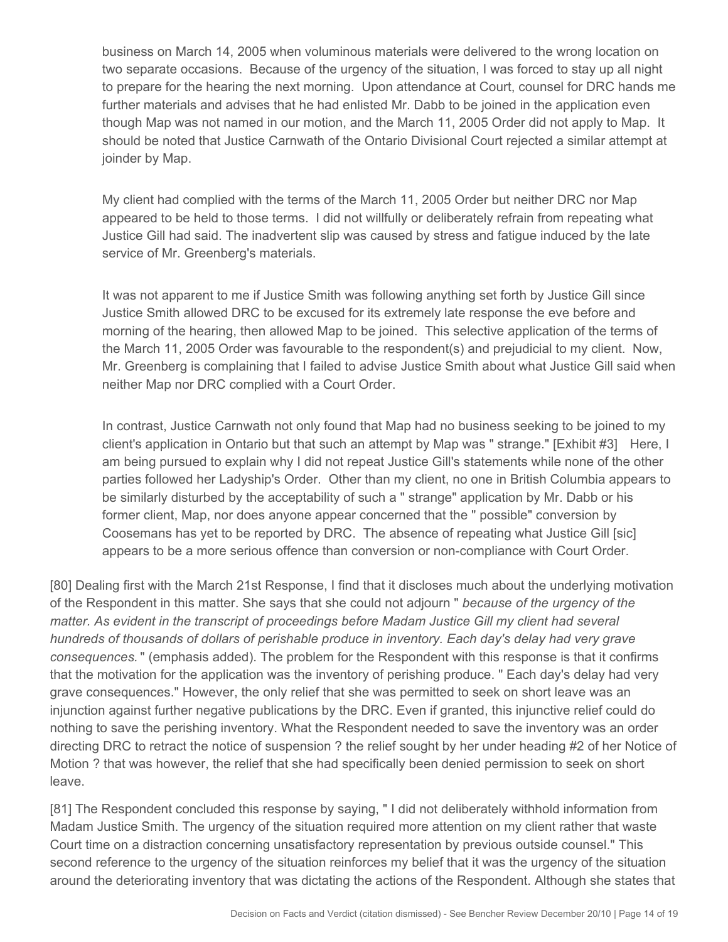business on March 14, 2005 when voluminous materials were delivered to the wrong location on two separate occasions. Because of the urgency of the situation, I was forced to stay up all night to prepare for the hearing the next morning. Upon attendance at Court, counsel for DRC hands me further materials and advises that he had enlisted Mr. Dabb to be joined in the application even though Map was not named in our motion, and the March 11, 2005 Order did not apply to Map. It should be noted that Justice Carnwath of the Ontario Divisional Court rejected a similar attempt at joinder by Map.

My client had complied with the terms of the March 11, 2005 Order but neither DRC nor Map appeared to be held to those terms. I did not willfully or deliberately refrain from repeating what Justice Gill had said. The inadvertent slip was caused by stress and fatigue induced by the late service of Mr. Greenberg's materials.

It was not apparent to me if Justice Smith was following anything set forth by Justice Gill since Justice Smith allowed DRC to be excused for its extremely late response the eve before and morning of the hearing, then allowed Map to be joined. This selective application of the terms of the March 11, 2005 Order was favourable to the respondent(s) and prejudicial to my client. Now, Mr. Greenberg is complaining that I failed to advise Justice Smith about what Justice Gill said when neither Map nor DRC complied with a Court Order.

In contrast, Justice Carnwath not only found that Map had no business seeking to be joined to my client's application in Ontario but that such an attempt by Map was " strange." [Exhibit #3]Here, I am being pursued to explain why I did not repeat Justice Gill's statements while none of the other parties followed her Ladyship's Order. Other than my client, no one in British Columbia appears to be similarly disturbed by the acceptability of such a " strange" application by Mr. Dabb or his former client, Map, nor does anyone appear concerned that the " possible" conversion by Coosemans has yet to be reported by DRC. The absence of repeating what Justice Gill [sic] appears to be a more serious offence than conversion or non-compliance with Court Order.

[80] Dealing first with the March 21st Response, I find that it discloses much about the underlying motivation of the Respondent in this matter. She says that she could not adjourn " *because of the urgency of the matter. As evident in the transcript of proceedings before Madam Justice Gill my client had several hundreds of thousands of dollars of perishable produce in inventory. Each day's delay had very grave consequences.* " (emphasis added). The problem for the Respondent with this response is that it confirms that the motivation for the application was the inventory of perishing produce. " Each day's delay had very grave consequences." However, the only relief that she was permitted to seek on short leave was an injunction against further negative publications by the DRC. Even if granted, this injunctive relief could do nothing to save the perishing inventory. What the Respondent needed to save the inventory was an order directing DRC to retract the notice of suspension ? the relief sought by her under heading #2 of her Notice of Motion ? that was however, the relief that she had specifically been denied permission to seek on short leave.

[81] The Respondent concluded this response by saying, " I did not deliberately withhold information from Madam Justice Smith. The urgency of the situation required more attention on my client rather that waste Court time on a distraction concerning unsatisfactory representation by previous outside counsel." This second reference to the urgency of the situation reinforces my belief that it was the urgency of the situation around the deteriorating inventory that was dictating the actions of the Respondent. Although she states that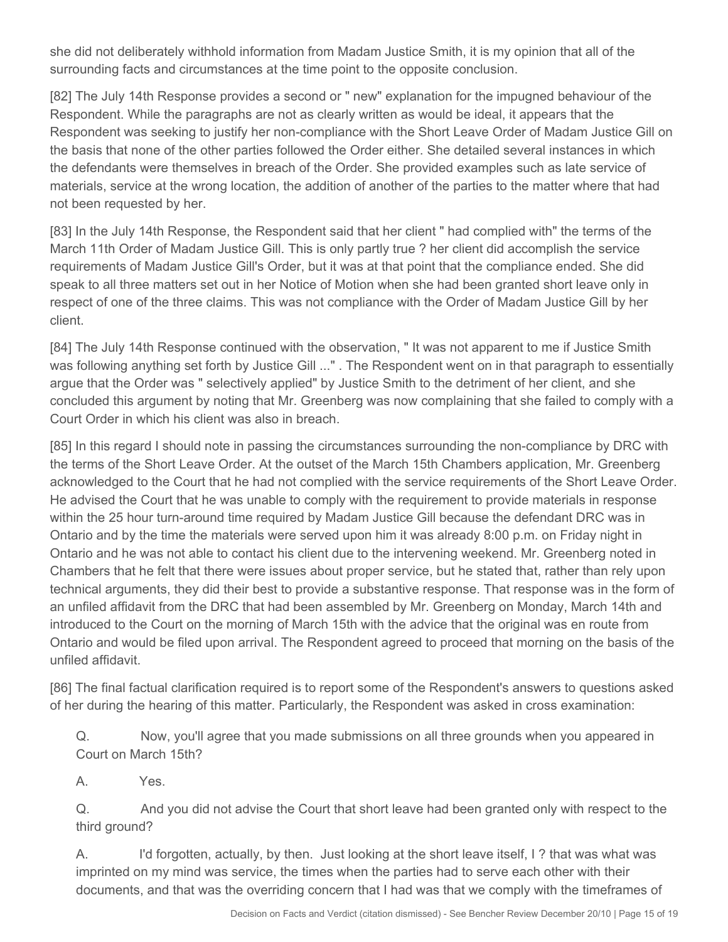she did not deliberately withhold information from Madam Justice Smith, it is my opinion that all of the surrounding facts and circumstances at the time point to the opposite conclusion.

[82] The July 14th Response provides a second or " new" explanation for the impugned behaviour of the Respondent. While the paragraphs are not as clearly written as would be ideal, it appears that the Respondent was seeking to justify her non-compliance with the Short Leave Order of Madam Justice Gill on the basis that none of the other parties followed the Order either. She detailed several instances in which the defendants were themselves in breach of the Order. She provided examples such as late service of materials, service at the wrong location, the addition of another of the parties to the matter where that had not been requested by her.

[83] In the July 14th Response, the Respondent said that her client " had complied with" the terms of the March 11th Order of Madam Justice Gill. This is only partly true ? her client did accomplish the service requirements of Madam Justice Gill's Order, but it was at that point that the compliance ended. She did speak to all three matters set out in her Notice of Motion when she had been granted short leave only in respect of one of the three claims. This was not compliance with the Order of Madam Justice Gill by her client.

[84] The July 14th Response continued with the observation, " It was not apparent to me if Justice Smith was following anything set forth by Justice Gill ..." . The Respondent went on in that paragraph to essentially argue that the Order was " selectively applied" by Justice Smith to the detriment of her client, and she concluded this argument by noting that Mr. Greenberg was now complaining that she failed to comply with a Court Order in which his client was also in breach.

[85] In this regard I should note in passing the circumstances surrounding the non-compliance by DRC with the terms of the Short Leave Order. At the outset of the March 15th Chambers application, Mr. Greenberg acknowledged to the Court that he had not complied with the service requirements of the Short Leave Order. He advised the Court that he was unable to comply with the requirement to provide materials in response within the 25 hour turn-around time required by Madam Justice Gill because the defendant DRC was in Ontario and by the time the materials were served upon him it was already 8:00 p.m. on Friday night in Ontario and he was not able to contact his client due to the intervening weekend. Mr. Greenberg noted in Chambers that he felt that there were issues about proper service, but he stated that, rather than rely upon technical arguments, they did their best to provide a substantive response. That response was in the form of an unfiled affidavit from the DRC that had been assembled by Mr. Greenberg on Monday, March 14th and introduced to the Court on the morning of March 15th with the advice that the original was en route from Ontario and would be filed upon arrival. The Respondent agreed to proceed that morning on the basis of the unfiled affidavit.

[86] The final factual clarification required is to report some of the Respondent's answers to questions asked of her during the hearing of this matter. Particularly, the Respondent was asked in cross examination:

Q. Now, you'll agree that you made submissions on all three grounds when you appeared in Court on March 15th?

A. Yes.

Q. And you did not advise the Court that short leave had been granted only with respect to the third ground?

A. I'd forgotten, actually, by then. Just looking at the short leave itself, I ? that was what was imprinted on my mind was service, the times when the parties had to serve each other with their documents, and that was the overriding concern that I had was that we comply with the timeframes of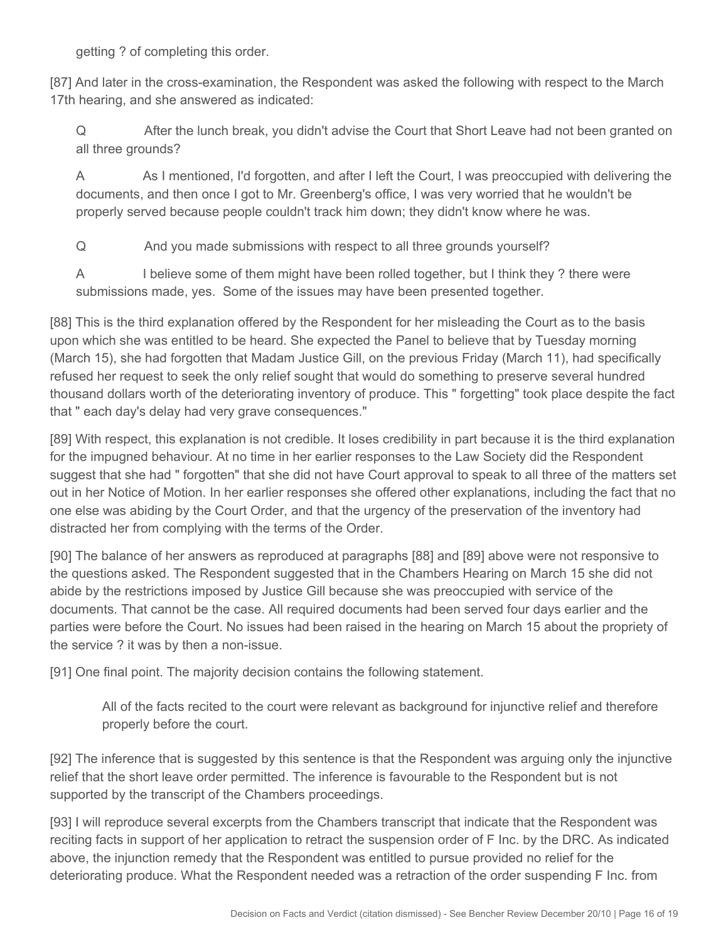getting ? of completing this order.

[87] And later in the cross-examination, the Respondent was asked the following with respect to the March 17th hearing, and she answered as indicated:

Q After the lunch break, you didn't advise the Court that Short Leave had not been granted on all three grounds?

A As I mentioned, I'd forgotten, and after I left the Court, I was preoccupied with delivering the documents, and then once I got to Mr. Greenberg's office, I was very worried that he wouldn't be properly served because people couldn't track him down; they didn't know where he was.

Q And you made submissions with respect to all three grounds yourself?

A I believe some of them might have been rolled together, but I think they ? there were submissions made, yes. Some of the issues may have been presented together.

[88] This is the third explanation offered by the Respondent for her misleading the Court as to the basis upon which she was entitled to be heard. She expected the Panel to believe that by Tuesday morning (March 15), she had forgotten that Madam Justice Gill, on the previous Friday (March 11), had specifically refused her request to seek the only relief sought that would do something to preserve several hundred thousand dollars worth of the deteriorating inventory of produce. This " forgetting" took place despite the fact that " each day's delay had very grave consequences."

[89] With respect, this explanation is not credible. It loses credibility in part because it is the third explanation for the impugned behaviour. At no time in her earlier responses to the Law Society did the Respondent suggest that she had " forgotten" that she did not have Court approval to speak to all three of the matters set out in her Notice of Motion. In her earlier responses she offered other explanations, including the fact that no one else was abiding by the Court Order, and that the urgency of the preservation of the inventory had distracted her from complying with the terms of the Order.

[90] The balance of her answers as reproduced at paragraphs [88] and [89] above were not responsive to the questions asked. The Respondent suggested that in the Chambers Hearing on March 15 she did not abide by the restrictions imposed by Justice Gill because she was preoccupied with service of the documents. That cannot be the case. All required documents had been served four days earlier and the parties were before the Court. No issues had been raised in the hearing on March 15 about the propriety of the service ? it was by then a non-issue.

[91] One final point. The majority decision contains the following statement.

All of the facts recited to the court were relevant as background for injunctive relief and therefore properly before the court.

[92] The inference that is suggested by this sentence is that the Respondent was arguing only the injunctive relief that the short leave order permitted. The inference is favourable to the Respondent but is not supported by the transcript of the Chambers proceedings.

[93] I will reproduce several excerpts from the Chambers transcript that indicate that the Respondent was reciting facts in support of her application to retract the suspension order of F Inc. by the DRC. As indicated above, the injunction remedy that the Respondent was entitled to pursue provided no relief for the deteriorating produce. What the Respondent needed was a retraction of the order suspending F Inc. from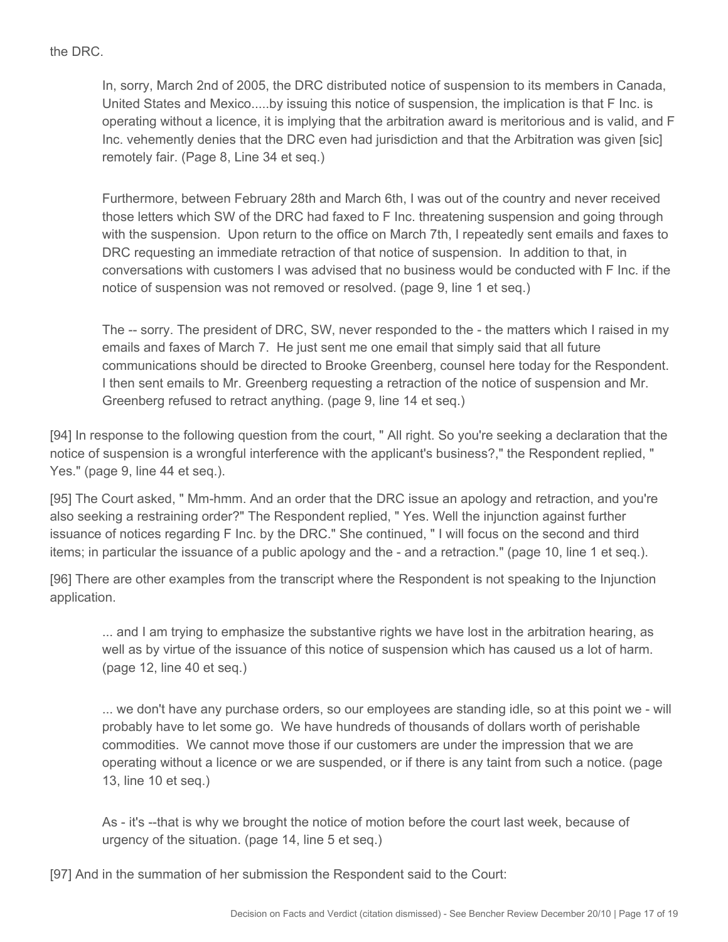#### the DRC.

In, sorry, March 2nd of 2005, the DRC distributed notice of suspension to its members in Canada, United States and Mexico.....by issuing this notice of suspension, the implication is that F Inc. is operating without a licence, it is implying that the arbitration award is meritorious and is valid, and F Inc. vehemently denies that the DRC even had jurisdiction and that the Arbitration was given [sic] remotely fair. (Page 8, Line 34 et seq.)

Furthermore, between February 28th and March 6th, I was out of the country and never received those letters which SW of the DRC had faxed to F Inc. threatening suspension and going through with the suspension. Upon return to the office on March 7th, I repeatedly sent emails and faxes to DRC requesting an immediate retraction of that notice of suspension. In addition to that, in conversations with customers I was advised that no business would be conducted with F Inc. if the notice of suspension was not removed or resolved. (page 9, line 1 et seq.)

The -- sorry. The president of DRC, SW, never responded to the - the matters which I raised in my emails and faxes of March 7. He just sent me one email that simply said that all future communications should be directed to Brooke Greenberg, counsel here today for the Respondent. I then sent emails to Mr. Greenberg requesting a retraction of the notice of suspension and Mr. Greenberg refused to retract anything. (page 9, line 14 et seq.)

[94] In response to the following question from the court, " All right. So you're seeking a declaration that the notice of suspension is a wrongful interference with the applicant's business?," the Respondent replied, " Yes." (page 9, line 44 et seq.).

[95] The Court asked, " Mm-hmm. And an order that the DRC issue an apology and retraction, and you're also seeking a restraining order?" The Respondent replied, " Yes. Well the injunction against further issuance of notices regarding F Inc. by the DRC." She continued, " I will focus on the second and third items; in particular the issuance of a public apology and the - and a retraction." (page 10, line 1 et seq.).

[96] There are other examples from the transcript where the Respondent is not speaking to the Injunction application.

... and I am trying to emphasize the substantive rights we have lost in the arbitration hearing, as well as by virtue of the issuance of this notice of suspension which has caused us a lot of harm. (page 12, line 40 et seq.)

... we don't have any purchase orders, so our employees are standing idle, so at this point we - will probably have to let some go. We have hundreds of thousands of dollars worth of perishable commodities. We cannot move those if our customers are under the impression that we are operating without a licence or we are suspended, or if there is any taint from such a notice. (page 13, line 10 et seq.)

As - it's --that is why we brought the notice of motion before the court last week, because of urgency of the situation. (page 14, line 5 et seq.)

[97] And in the summation of her submission the Respondent said to the Court: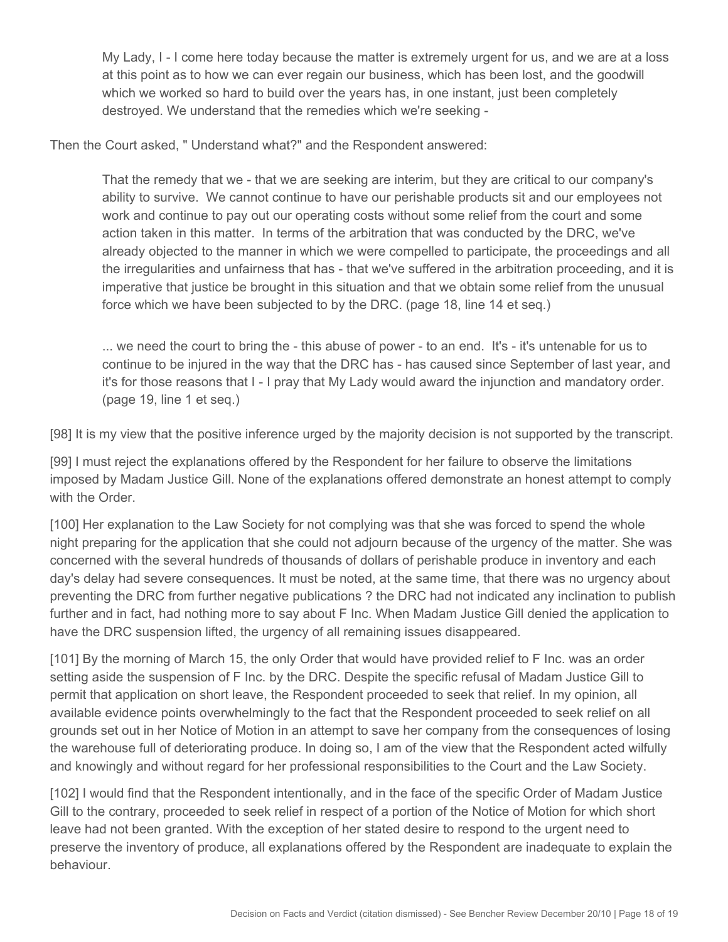My Lady, I - I come here today because the matter is extremely urgent for us, and we are at a loss at this point as to how we can ever regain our business, which has been lost, and the goodwill which we worked so hard to build over the years has, in one instant, just been completely destroyed. We understand that the remedies which we're seeking -

Then the Court asked, " Understand what?" and the Respondent answered:

That the remedy that we - that we are seeking are interim, but they are critical to our company's ability to survive. We cannot continue to have our perishable products sit and our employees not work and continue to pay out our operating costs without some relief from the court and some action taken in this matter. In terms of the arbitration that was conducted by the DRC, we've already objected to the manner in which we were compelled to participate, the proceedings and all the irregularities and unfairness that has - that we've suffered in the arbitration proceeding, and it is imperative that justice be brought in this situation and that we obtain some relief from the unusual force which we have been subjected to by the DRC. (page 18, line 14 et seq.)

... we need the court to bring the - this abuse of power - to an end. It's - it's untenable for us to continue to be injured in the way that the DRC has - has caused since September of last year, and it's for those reasons that I - I pray that My Lady would award the injunction and mandatory order. (page 19, line 1 et seq.)

[98] It is my view that the positive inference urged by the majority decision is not supported by the transcript.

[99] I must reject the explanations offered by the Respondent for her failure to observe the limitations imposed by Madam Justice Gill. None of the explanations offered demonstrate an honest attempt to comply with the Order.

[100] Her explanation to the Law Society for not complying was that she was forced to spend the whole night preparing for the application that she could not adjourn because of the urgency of the matter. She was concerned with the several hundreds of thousands of dollars of perishable produce in inventory and each day's delay had severe consequences. It must be noted, at the same time, that there was no urgency about preventing the DRC from further negative publications ? the DRC had not indicated any inclination to publish further and in fact, had nothing more to say about F Inc. When Madam Justice Gill denied the application to have the DRC suspension lifted, the urgency of all remaining issues disappeared.

[101] By the morning of March 15, the only Order that would have provided relief to F Inc. was an order setting aside the suspension of F Inc. by the DRC. Despite the specific refusal of Madam Justice Gill to permit that application on short leave, the Respondent proceeded to seek that relief. In my opinion, all available evidence points overwhelmingly to the fact that the Respondent proceeded to seek relief on all grounds set out in her Notice of Motion in an attempt to save her company from the consequences of losing the warehouse full of deteriorating produce. In doing so, I am of the view that the Respondent acted wilfully and knowingly and without regard for her professional responsibilities to the Court and the Law Society.

[102] I would find that the Respondent intentionally, and in the face of the specific Order of Madam Justice Gill to the contrary, proceeded to seek relief in respect of a portion of the Notice of Motion for which short leave had not been granted. With the exception of her stated desire to respond to the urgent need to preserve the inventory of produce, all explanations offered by the Respondent are inadequate to explain the behaviour.